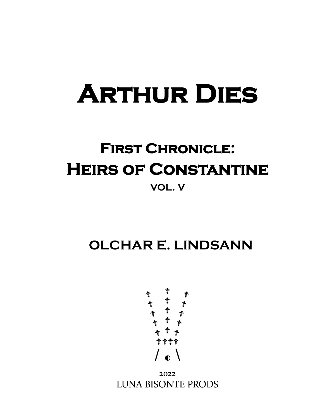# **Arthur Dies**

# **First Chronicle: Heirs of Constantine VOL. V**

**OLCHAR E. LINDSANN**



2022 LUNA BISONTE PRODS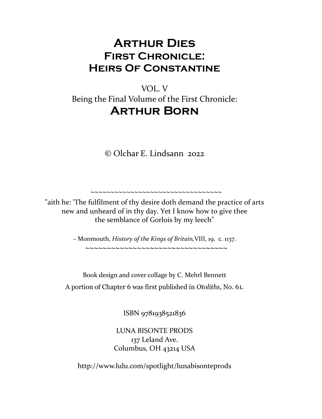### **Arthur Dies First Chronicle: Heirs Of Constantine**

### VOL. V Being the Final Volume of the First Chronicle: **Arthur Born**

© Olchar E. Lindsann 2022

"aith he: 'The fulfilment of thy desire doth demand the practice of arts new and unheard of in thy day. Yet I know how to give thee the semblance of Gorlois by my leech"

 **~~~~~~~~~~~~~~~~~~~~~~~~~~~~~~~~~**

– Monmouth, *History of the Kings of Britain,*VIII, 19. c. 1137.

 **~~~~~~~~~~~~~~~~~~~~~~~~~~~~~~~~~**

Book design and cover collage by C. Mehrl Bennett A portion of Chapter 6 was first published in *Otoliths*, No. 61.

ISBN 9781938521836

LUNA BISONTE PRODS 137 Leland Ave. Columbus, OH 43214 USA

http://www.lulu.com/spotlight/lunabisonteprods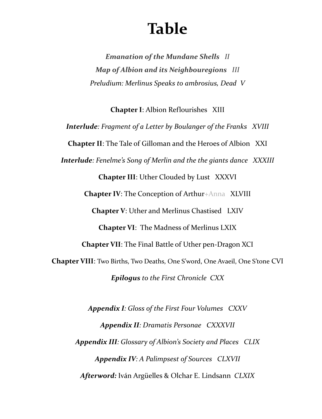# **Table**

*Emanation of the Mundane Shells II Map of Albion and its Neighbouregions III Preludium: Merlinus Speaks to ambrosius, Dead V*

**Chapter I**: Albion Reflourishes XIII *Interlude: Fragment of a Letter by Boulanger of the Franks XVIII* **Chapter II**: The Tale of Gilloman and the Heroes of Albion XXI *Interlude: Fenelme's Song of Merlin and the the giants dance XXXIII* **Chapter III**: Uther Clouded by Lust XXXVI **Chapter IV**: The Conception of Arthur+Anna XLVIII **Chapter V**: Uther and Merlinus Chastised LXIV **Chapter VI**: The Madness of Merlinus LXIX **Chapter VII**: The Final Battle of Uther pen-Dragon XCI **Chapter VIII**: Two Births, Two Deaths, One S'word, One Avaeil, One S'tone CVI *Epilogus to the First Chronicle CXX*

> *Appendix I: Gloss of the First Four Volumes CXXV Appendix II: Dramatis Personae CXXXVII Appendix III: Glossary of Albion's Society and Places CLIX Appendix IV: A Palimpsest of Sources CLXVII Afterword:* Iván Argüelles & Olchar E. Lindsann *CLXIX*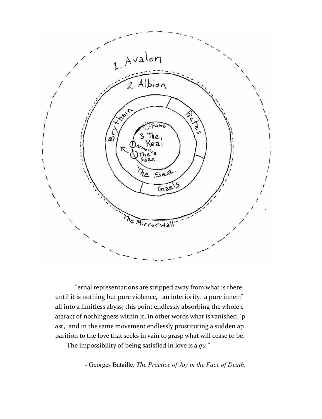

"ernal representations are stripped away from what is there, until it is nothing but pure violence, an interiority, a pure inner f all into a limitless abyss; this point endlessly absorbing the whole c ataract of nothingness within it, in other words what is vanished, 'p ast', and in the same movement endlessly prostituting a sudden ap parition to the love that seeks in vain to grasp what will cease to be.

The impossibility of being satisfied in love is a *gu* "

- Georges Bataille, *The Practice of Joy in the Face of Death*.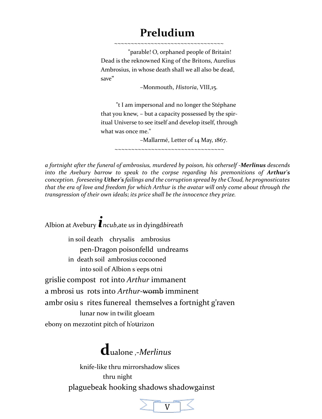### **Preludium**

 ~~~~~~~~~~~~~~~~~~~~~~~~~~~~~~~~~ "parable! O, orphaned people of Britain! Dead is the reknowned King of the Britons, Aurelius Ambrosius, in whose death shall we all also be dead, save"

–Monmouth, *Historia*, VIII,15.

 "t I am impersonal and no longer the Stéphane that you knew, – but a capacity possessed by the spir itual Universe to see itself and develop itself, through what was once me."

–Mallarmé, Letter of 14 May, 1867.

~~~~~~~~~~~~~~~~~~~~~~~~~~~~~~~~~~~~

*a fortnight after the funeral of ambrosius, murdered by poison, his otherself -Merlinus descends into the Avebury barrow to speak to the corpse regarding his premonitions of Arthur's conception. foreseeing Uther's failings and the corruption spread by the Cloud, he prognosticates that the era of love and freedom for which Arthur is the avatar will only come about through the transgression of their own ideals; its price shall be the innocence they prize.*

Albion at Avebury *incub*,ate *us* in dyingd*bir*ea*th*

 in soil death chrysalis ambrosius pen-Dragon poisonfelld undreams in death soil ambrosius cocooned into soil of Albion s*l*eeps otni grislie compost rot into *Arthur* immanent a mbrosi us rots into *Arthur*-womb imminent ambr osiu s rites funereal themselves a fortnight g'raven lunar now in twilit gloeam ebony on mezzotint pitch of h'ourizon

## **d**ualone ,-*Merlinus*

 knife-like thru mirrorshadow slices thru night plaguebeak hooking shadows shadowgainst

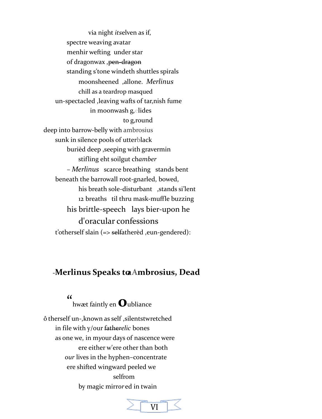via night *its*elven as if, spectre weaving avatar menhir wefting under star of dragonwax , pen-dragon standing s'tone windeth shuttles spirals moonsheened allone. Merlinus chill as a teardrop masqued un-spectacled , leaving wafts of tar, nish fume in moonwash gelides to g, round deep into barrow-belly with ambrosius sunk in silence pools of utterblack burièd deep , seeping with gravermin stifling eht soilgut chamber - Merlinus scarce breathing stands bent beneath the barrowall root-gnarled, bowed, his breath sole-disturbant , stands si'lent 12 breaths til thru mask-muffle buzzing his brittle-speech lays bier-upon he d'oracular confessions t'otherself slain (=> selfatherèd ,eun-gendered):

### -Merlinus Speaks to Ambrosius, Dead

 $\alpha$ 

hwæt faintly en  $\mathbf 0$ ubliance

ô therself un-, known as self, silentstwretched in file with y/our fatherelic bones as one we, in myour days of nascence were ere either w'ere other than both our lives in the hyphen-concentrate ere shifted wingward peeled we selfrom by magic mirrored in twain

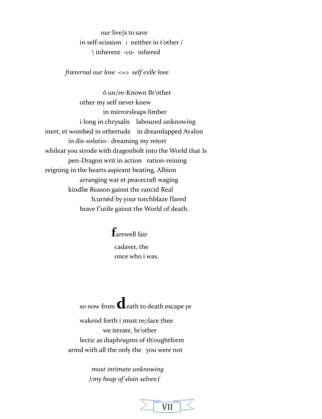our livels to save in self-scission: neither in t'other /  $\int$  inherent -co- inhered

fræternal our love <=> self exîle love

ô un/re-Known Br'other other my self never knew in mirrorsleaps limber i long in chrysalis laboured unknowing inert, et wombed in othertude in dreamlapped Avalon in dis-solution dreaming my retort whileat you strode with dragonbolt into the World that Is pen-Dragon writ in action ration-reining reigning in the hearts aspirant beating, Albion arranging war et peacecraft waging kindlie Reason gainst the rancid Real b, urnèd by your torchblaze flared brave f'utile gainst the World of death.

> $f_{\text{arewell fair}}$ cadaver, the once who i was.

so now from **C**eath to death escape ye

wakend forth i must replace thee we iterate, br'other lectic as diaphragms of th'oughtform armd with all the only the you were not

> most intimate unknowing ): my heap of slain selves: (

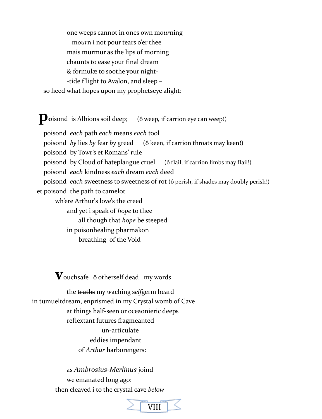one weeps cannot in ones own mourning mourn i not pour tears o'er thee mais murmur as the lips of morning chaunts to ease your final dream & formulæ to soothe your night--tide f'light to Avalon, and sleep so heed what hopes upon my prophetseye alight:

**Doisond** is Albions soil deep; (ô weep, if carrion eye can weep!)

poisond each path each means each tool poisond by lies by fear by greed (ô keen, if carrion throats may keen!) poisond by Towr's et Romans' rule poisond by Cloud of hateplangue cruel (ô flail, if carrion limbs may flail!) poisond each kindness each dream each deed poisond each sweetness to sweetness of rot (ô perish, if shades may doubly perish!) et poisond the path to camelot wh'ere Arthur's love's the creed and yet i speak of hope to thee all though that *hope* be steeped in poisonhealing pharmakon breathing of the Void

 $\mathbf{V}_{\text{ouchsafe}}$  ô otherself dead my words

the truths my waching selfgerm heard in tumueltdream, enprismed in my Crystal womb of Cave at things half-seen or oceaonieric deeps reflextant futures fragmeanted un-articulate eddies impendant of Arthur harborengers:

> as Ambrosius-Merlinus joind we emanated long ago: then cleaved i to the crystal cave below

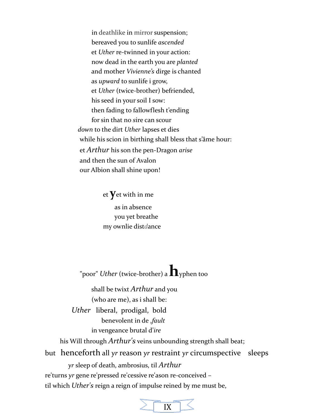in deathlike in mirror suspension; bereaved you to sunlife *ascended* et *Uther* re-twinned in your action: now dead in the earth you are *planted* and mother *Vivienne's* dirge is chanted as *upward* to sunlife i grow, et *Uther* (twice-brother) befriended, his seed in your soil I sow: then fading to fallowflesh t'ending for sin that no *s*ire can scour  *down* to the dirt *Uther* lapses et dies while his scion in birthing shall bless that s'âme hour: et *Arthur* his son the pen-Dragon *arise* and then the sun of Avalon our Albion shall shine upon!

> et **y**et with in me as in absence you yet breathe my ownlie dist*d*ance

"poor" *Uther* (twice-brother) a **h**yphen too

 shall be twixt *Arthur* and you (who are me), as i shall be:

 *Uther* liberal, prodigal, bold benevolent in de ,*fault* in vengeance brutal d'*ire*

his Will through *Arthur's* veins unbounding strength shall beat;

but henceforth all *yr* reason *yr* restraint *yr* circumspective sleeps

*yr* sleep of death, ambrosius, til *Arthur*

re'turns *yr* gene re'pressed re'cessive re'ason re-conceived –

til which *Uther's* reign a reign of impulse reined by me must be,